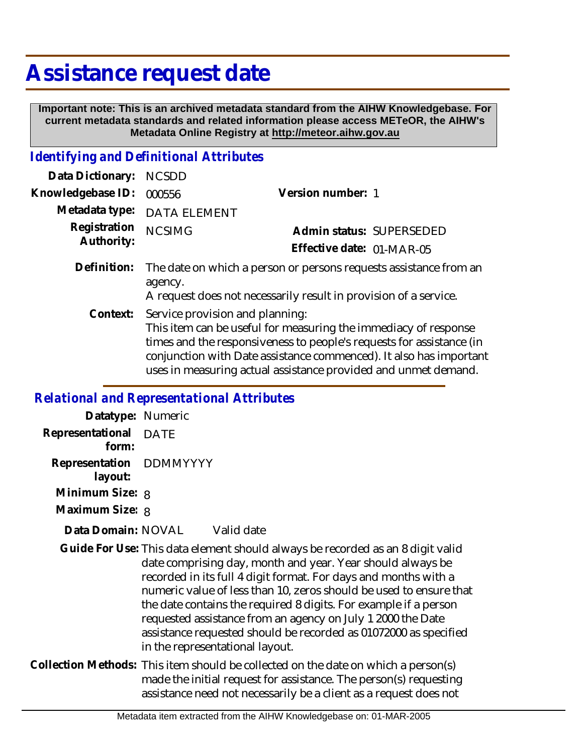## **Assistance request date**

 **Important note: This is an archived metadata standard from the AIHW Knowledgebase. For current metadata standards and related information please access METeOR, the AIHW's Metadata Online Registry at http://meteor.aihw.gov.au**

## *Identifying and Definitional Attributes*

| Data Dictionary: NCSDD     |                                                                                                                                                  |                           |                          |
|----------------------------|--------------------------------------------------------------------------------------------------------------------------------------------------|---------------------------|--------------------------|
| Knowledgebase ID:          | 000556                                                                                                                                           | Version number: 1         |                          |
|                            | Metadata type: DATA ELEMENT                                                                                                                      |                           |                          |
| Registration<br>Authority: | <b>NCSIMG</b>                                                                                                                                    | Effective date: 01-MAR-05 | Admin status: SUPERSEDED |
| Definition:                | The date on which a person or persons requests assistance from an<br>agency.<br>A request does not necessarily result in provision of a service. |                           |                          |

Service provision and planning: This item can be useful for measuring the immediacy of response times and the responsiveness to people's requests for assistance (in conjunction with Date assistance commenced). It also has important uses in measuring actual assistance provided and unmet demand. **Context:**

## *Relational and Representational Attributes*

| Datatype: Numeric                  |                                                                                                                                                                                                                                                                                                                                                                                                                                                                                                                                 |
|------------------------------------|---------------------------------------------------------------------------------------------------------------------------------------------------------------------------------------------------------------------------------------------------------------------------------------------------------------------------------------------------------------------------------------------------------------------------------------------------------------------------------------------------------------------------------|
| Representational DATE<br>form:     |                                                                                                                                                                                                                                                                                                                                                                                                                                                                                                                                 |
| Representation DDMMYYYY<br>layout: |                                                                                                                                                                                                                                                                                                                                                                                                                                                                                                                                 |
| Minimum Size: 8                    |                                                                                                                                                                                                                                                                                                                                                                                                                                                                                                                                 |
| Maximum Size: 8                    |                                                                                                                                                                                                                                                                                                                                                                                                                                                                                                                                 |
| Data Domain: NOVAL                 | Valid date                                                                                                                                                                                                                                                                                                                                                                                                                                                                                                                      |
|                                    | Guide For Use: This data element should always be recorded as an 8 digit valid<br>date comprising day, month and year. Year should always be<br>recorded in its full 4 digit format. For days and months with a<br>numeric value of less than 10, zeros should be used to ensure that<br>the date contains the required 8 digits. For example if a person<br>requested assistance from an agency on July 1 2000 the Date<br>assistance requested should be recorded as 01072000 as specified<br>in the representational layout. |
|                                    | Collection Methods: This item should be collected on the date on which a person(s)                                                                                                                                                                                                                                                                                                                                                                                                                                              |

made the initial request for assistance. The person(s) requesting assistance need not necessarily be a client as a request does not